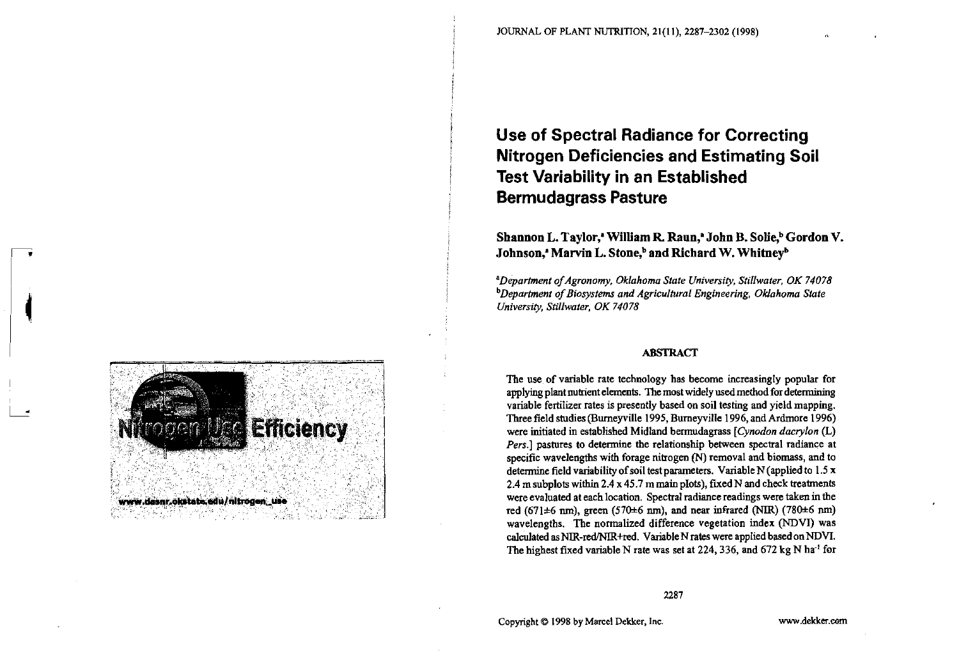# **Use of Spectral Radiance for Correcting Nitrogen Deficiencies and Estimating Soil Test Variability in an Established Bermudagrass Pasture**

Shannon L. Taylor,<sup>*'*</sup> William R. Raun,<sup>2</sup> John B. Solie,<sup>b</sup> Gordon V. Johnson,<sup>*'*</sup> Marvin L. Stone,<sup>b</sup> and Richard W. Whitney<sup>b</sup>

<sup>a</sup>Department of Agronomy, Oklahoma State University, Stillwater, OK 74078 *b* Department of Biosystems and Agricultural Engineering, Oklahoma State *University, Stillwater, OK 74078* 

#### **ABSTRACT**

The use of variable rate technology has become increasingly popular for applying plant nutrient elements. The most widely used method for determining variable fertilizer rates is presently based on soil testing and yield mapping. Three field studies (Bumeyville 1995, Burneyville 1996, and Ardmore 1996) were initiated in established Midland bermudagrass *[Cynodon dacrylon* (L) *Pers.]* pastures to determine the relationship between spectral radiance at specific wavelengths with forage nitrogen (N) removal and biomass, and to determine field variability of soil test parameters. Variable  $N$  (applied to 1.5 x 2.4 m subplots within  $2.4 \times 45.7$  m main pIots), fixed N and check treatments were evaluated at each location. Spectral radiance readings were taken in the red (671±6 nm), green (570±6 nm), and near infrared (NIR) (780±6 nm) wavelengths. The normalized difference vegetation index (NDVI) was calculated as NIR-red/NIR+red. Variable N rates were applied based on NDVI. The highest fixed variable N rate was set at 224, 336, and 672 kg N ha<sup>-1</sup> for

Copyright Q 1998 by Marcel Dekker, Inc.

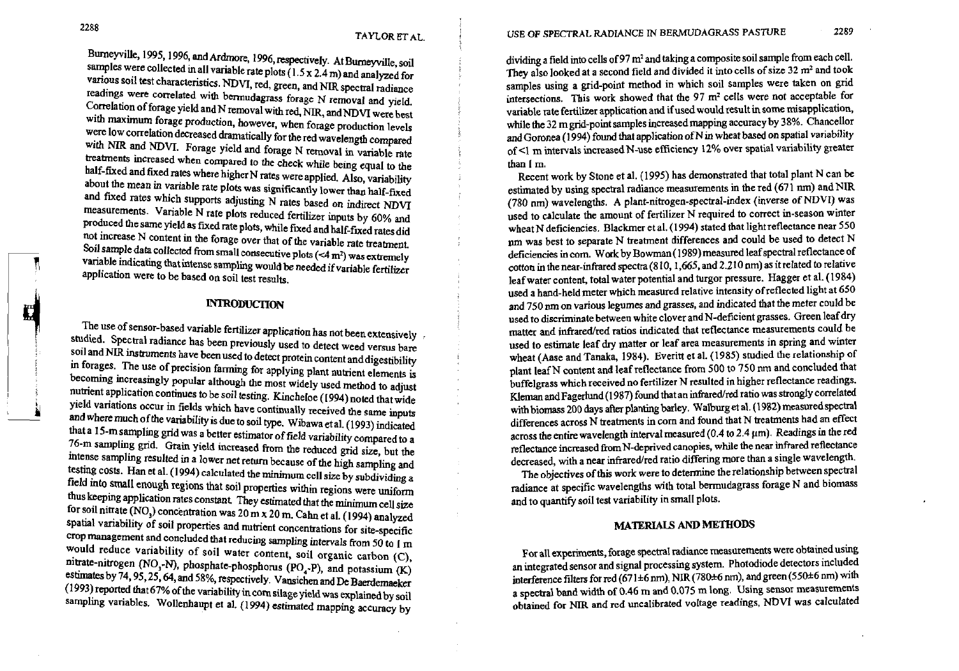readings were correlated with bermudagrass forage N removal and yield.<br>Correlation of forage yield and N removal with red, NIR, and NDVI were best with NIR and NDVI. Forage yield and forage N removal in variable rate of <l m is<br>treatments increased when compared to the check while being equal to the spatial variable than I m. treatments increased when compared to the check while being equal to the half-fixed and fixed rates where higher N rates were applied. Also, variability and fixed rates which supports adjusting N rates based on indirect NDVI measurements. Variable N rate plots reduced fertilizer inputs by 60% and produced the same yield as fixed rate plots, while fixed and half-fixed rates did not increase N content in the forage over that of the variable rate treatment.

Studied. Spectral radiance has been previously used to detect weed versus bare<br>
soil and NIR instruments have been used to detect protein content and digestivility.<br>
wheat (Aase and Tanaka, 1984). Everitt et al. (1985) stu oil and NIR instruments have been used to detect protein content and digestibility wheat (Aase and Tanaka, 1984). Everitt et al. (1985) studied the relationship or information of the relationship of any studied that in for In forages. The use of precision farming for applying plant nutrient elements is plant leaf N content and leaf reflectance from 500 to 750 nm and concluded that becoming increasingly popular although the most widely used m becoming increasingly popular although the most widely used method to adjust<br>nutrient application continues to be soil testing. Kincheloe (1994) noted that wide and the most widely we are the widely we are the widely we ar in the continues to be soil testing. Kincheloe (1994) noted that wide **and Kleman and Fagerlund (1987)** found that an infrared/red ratio was strongly correlated<br>
yield variations occur in fields which have continually rece yield variations occur in fields which have continually received the same inputs with biomass 200 days after planting barley. Walburg et al. (1982) measure uspecular and where much of the variability is due to soil type. W and where much of the variability is due to soil type. Wibawa et al. (1993) indicated that a 15-m sampling grid was a better estimator of field variability compared to a across the entire wavelength interval measured (0.4 to 2.4 µm). Readings in the 104 to a measured (0.4 to 2.4 µm). Readings in the 104 to 76-m sampling grid. Grain yield increased from the reduced grid size, but the reflectance increased from N-deprived canopies, while the near infrared reflectance increased from N-deprived canopies, while the near infrared intense sampling resulted in a lower net return because of the high sampling and testing costs. Han et al. (1994) calculated the minimum cell size by subdividing a field into small enough regions that soil properties within regions were uniform<br>thus keeping application rates constant. They estimated that the minimum cell size and to quantify soil test variability in small plots. thus keeping application rates constant. They estimated that the minimum cell size for nitrate (NO,) concentration was 20 m **x** 20 m. **Cahn** et al, (1 994) analyzed Spatial variability of soil properties and nutrient concentrations for site-specific **MATERIALS AND METHODS** crop management and concluded that reducing sampling intervals from 50 to 1 m would reduce variability of soil water content, soil organic carbon (C),<br>
mitrate-nitrogen (NO<sub>3</sub>-N), phosphate-phosphorus (PO<sub>2</sub>-P) and notassium *(V*) and integrated sensor and signal processing system. Photodiode detect nitrate-nitrogen (NO<sub>3</sub>-N), phosphate-phosphorus (PO<sub>4</sub>-P), and potassium (K) an integrated sensor and signal processing system. Photodiode detectors included<br>estimates by 74, 95, 25, 64, and 58%, respectively. Vansichen a estimates by 74, 95, 25, 64, and 58%, respectively. Vansichen and De Baerdemaeker<br>(1993) reported that 67% of the variability in corn silage vield was explained by soil a spectral band width of 0.46 m and 0.075 m long. Usi (1993) reported that 67% of the variability in corn silage yield was explained by soil a spectral band width of 0.46 m and 0.075 m long. Using sensor measurements contained to a band width of 0.46 m and 0.075 m long. Using sampling variables. Wollenhaupt et al. (1994) estimated mapping accuracy by

Burneyville, 1995, 1996, and Ardmore, 1996, respectively. At Burneyville, soil dividing a field into cells of 97 m<sup>2</sup> and taking a composite soil sample from each cell.<br>samples were collected in all variable rate plots (1. samples were collected in all variable rate plots (1.5 x 2.4 m) and analyzed for<br>various soil test characteristics. NDVI, red, green, and NIR spectral redistions of the product and tooked at a second field and divided it i various soil test characteristics. NDVI, red, green, and NIR spectral radiance<br>readings were correlated with bermudagrass forage N removal and viald in the sections. This work showed that the 97 m<sup>2</sup> cells were not accepta variable rate fertilizer application and if used would result in some misapplication, while the 32 m grid-point samples increased mapping accuracy by 38%. Chancellor with maximum forage production, however, when forage production levels while the 32 m grid-point samples increased mapping accuracy by 38%. Chancellor<br>were low correlation decreased dramatically for the red wavelength comp were low correlation decreased dramatically for the red wavelength compared and Goronea (1994) found that application of N in wheat based on spatial variability are with NIR and NDVI. Forage yield and forage N removal in v

Recent work by Stone et al. (1995) has demonstrated that total plant N can be estimated by using spectral radiance measurements in the red (671 nm) and NIR the mean in variable rate means the was significantly lower than half-fixed estimated by using spectral radiance measurements in the red (671 nm) and NIR<br>and fixed rates which supports adjusting N rates based on indirect N used to calculate the amount of fertilizer N required to correct in-season winter wheat N deficiencies. Blackmer et al. (1994) stated that light reflectance near 550 nm was best to separate N treatment differences and could be used to detect N deficiencies in com. Work by Bowman (1989) measured leaf spectral reflectance of Soil sample data collected from small consecutive plots (<4 m<sup>2</sup>) was extremely<br>variable indicating that intense sampling would be needed if variable fertilizer<br>application were to be based on soil test results<br>application Variable indicating that intense sampling would be needed if variable fertilizer<br>
application were to be based on soil test results.<br>
INTRODUCTION<br>
INTRODUCTION<br>
INTRODUCTION<br>
INTRODUCTION<br>
INTRODUCTION<br>
INTRODUCTION<br>
INTR used a hand-held meter which measured relative intensity of reflected light at650 **INTRODUCTION and 750 pm on various legumes and grasses, and indicated that the meter could be** used to discriminate between white clover and N-deficient grasses. Green leaf dry<br>matter and infrared/red ratios indicated that reflectance measurements could be The use of sensor-based variable fertilizer application has not been extensively fraction that infrared/red ratios indicated that reflectance measurements could be<br>interest that in the straight of the straight of the strai

The objectives of this work were to determine the relationship between spectral radiance at specific wavelengths with total bermudagrass forage N and biomass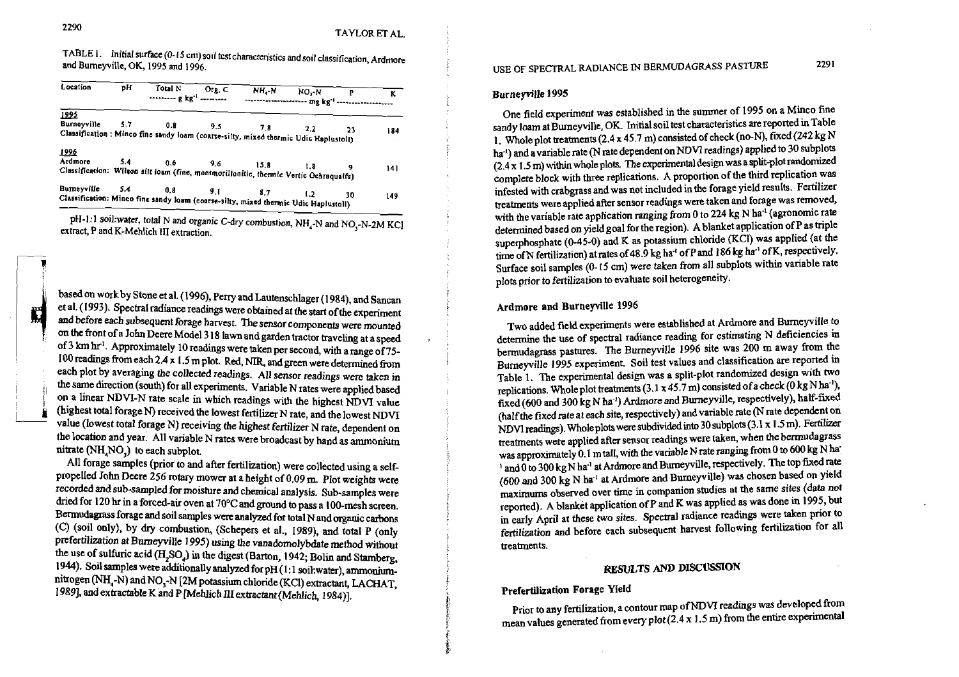| IADLEI.<br>$\ldots$ initial surface (0-15 cm) soil test characteristics and soil classification, Ardmore |  |
|----------------------------------------------------------------------------------------------------------|--|
| and Burneyville, OK, 1995 and 1996.                                                                      |  |
|                                                                                                          |  |

| Location               | ъH  | Total N<br>$\cdots$ $\cdots$ $\cdots$ $\cdots$ $\cdots$                                                        | Org. C | NH <sub>2</sub> N | NO - N<br>--------------------- mg kg <sup>-1</sup> ----------------- | $\mathbf{P}$ | ĸ   |
|------------------------|-----|----------------------------------------------------------------------------------------------------------------|--------|-------------------|-----------------------------------------------------------------------|--------------|-----|
| 1995.                  |     | Burneyville 5.7 0.8 9.5<br>Classification: Minco fine sandy loam (coarse-silty, mixed thermic Udic Haplustoll) |        | 7.8               | 2.2                                                                   | 23           | 184 |
| <u>1996</u><br>Ardmore | 5.4 | $0.6$ $9.6$<br>Classification: Wilson silt losm (fine, montmorillonitic, thermic Vertic Ochraqualfs)           |        |                   | $15.8$ 1.8                                                            |              | 141 |
| <b>Burneyville</b>     |     | $5.4$ 0.8 9.1 8.7<br>Classification: Minco fine sandy loam (coarse-silty, mixed thermic Udic Haplustoll)       |        |                   | 1.2                                                                   | 30           | 149 |

pH-1:1 soil:water, total N and organic C-dry combustion, NH<sub>4</sub>-N and NO<sub>3</sub>-N-2M KCl extract, P and K-Mehlich III extraction.

based on work by Stone et al. (1996), Perry and Lautenschlager (1984), and Sancan et al. (1993). Spectral radiance readings were obtained at the start of the experiment and before each subsequent forage harvest. The sensor components were mounted on the front of a John Deere Model 318 lawn and garden tractor traveling at a speed of 3 km hr<sup>1</sup>. Approximately 10 readings were taken per second, with a range of 75-100 readings from each 2.4 x 1.5 m plot. Red, NIR, and green were determined from each plot by averaging the collected readings. All sensor readings were taken in the same direction (south) for all experiments. Variable N rates were applied based on a linear NDVI-N rate scale in which readings with the highest NDVI value (highest total forage N) received the lowest fertilizer N rate, and the lowest NDVI value (lowest total forage N) receiving the highest fertilizer N rate, dependent on the location and year. All variable N rates were broadcast by hand as ammonium nitrate (NH<sub>,</sub>NO,) to each subplot.

All forage samples (prior to and after fertilization) were collected using a selfpropelled John Deere  $256$  rotary mower at a height of  $0.09$  m. Plot weights were recorded and sub-sampled for moisture and chemical analysis. Sub-samples were dried for 120 hr in a forced-air oven at 70°C and ground to pass a 100-mesh screen. Bermudagrass forage and soil samples were analyzed for total N and organic carbons (C) (soil only), by dry combustion, (Schepers et al., 1989), and total P (only prefertilization at Burneyville 1995) using the vanadomolybdate method without the use of sulfuric acid (H,SO) in the digest (Barton, 1942; Bolin and Stamberg, 1944). Soil samples were additionally analyzed for pH (1:1 soil:water), ammoniumnitrogen (NH -N) and NO -N [2M potassium chloride (KCl) extractant, LACHAT, 1989], and extractable K and P [Mehlich III extractant (Mehlich, 1984)].

#### Burnevville 1995

One field experiment was established in the summer of 1995 on a Minco fine sandy loam at Burneyville, OK. Initial soil test characteristics are reported in Table 1. Whole plot treatments (2.4 x 45.7 m) consisted of check (no-N), fixed (242 kg N ha<sup>-1</sup>) and a variable rate (N rate dependent on NDVI readings) applied to 30 subplots (2.4 x 1.5 m) within whole plots. The experimental design was a split-plot randomized complete block with three replications. A proportion of the third replication was infested with crabgrass and was not included in the forage yield results. Fertilizer treatments were applied after sensor readings were taken and forage was removed, with the variable rate application ranging from 0 to 224 kg N ha<sup>-1</sup> (agronomic rate determined based on yield goal for the region). A blanket application of P as triple superphosphate (0-45-0) and K as potassium chloride (KCI) was applied (at the time of N fertilization) at rates of 48.9 kg ha<sup>1</sup> of P and 186 kg ha<sup>1</sup> of K, respectively. Surface soil samples (0-15 cm) were taken from all subplots within variable rate plots prior to fertilization to evaluate soil heterogeneity.

#### Ardmore and Burneyville 1996

Two added field experiments were established at Ardmore and Burneyville to determine the use of spectral radiance reading for estimating N deficiencies in bermudagrass pastures. The Burneyville 1996 site was 200 m away from the Burneyville 1995 experiment. Soil test values and classification are reported in Table 1. The experimental design was a split-plot randomized design with two replications. Whole plot treatments (3.1 x 45.7 m) consisted of a check (0 kg N ha<sup>-1</sup>), fixed (600 and 300 kg N ha<sup>-1</sup>) Ardmore and Burneyville, respectively), half-fixed (half the fixed rate at each site, respectively) and variable rate (N rate dependent on NDVI readings). Whole plots were subdivided into 30 subplots (3.1 x 1.5 m). Fertilizer treatments were applied after sensor readings were taken, when the bermudagrass was approximately 0.1 m tall, with the variable N rate ranging from 0 to 600 kg N ha ' and 0 to 300 kg N ha<sup>1</sup> at Ardmore and Burneyville, respectively. The top fixed rate (600 and 300 kg N ha<sup>-1</sup> at Ardmore and Burneyville) was chosen based on yield maximums observed over time in companion studies at the same sites (data not reported). A blanket application of P and K was applied as was done in 1995, but in early April at these two sites. Spectral radiance readings were taken prior to fertilization and before each subsequent harvest following fertilization for all treatments.

## RESULTS AND DISCUSSION

### Prefertilization Forage Yield

Prior to any fertilization, a contour map of NDVI readings was developed from mean values generated from every plot (2.4 x 1.5 m) from the entire experimental

mathematic extension of the con-

2291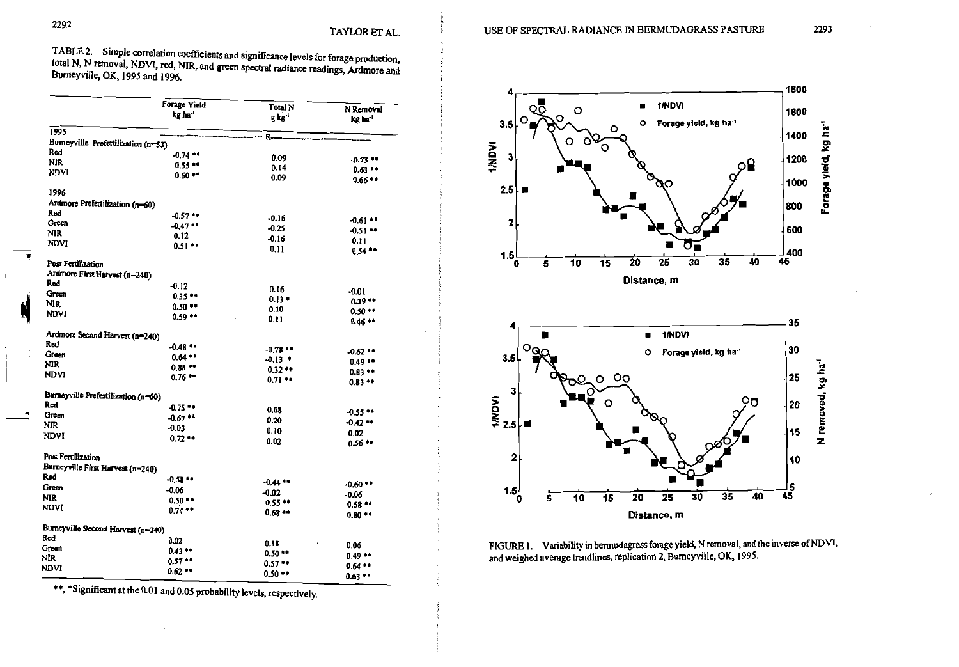TABLE 2. Simple correlation coefficients and significance levels for forage production, total N, N removal, NDVI, red, NIR, and green spectral radiance readings, Ardmore and Burneyville, OK, 1995 and 1996.

|                                     | Forage Yield | Total N      | N Removal           |
|-------------------------------------|--------------|--------------|---------------------|
|                                     | kg ha '      | g kg '       | kg ha               |
| 1995                                |              | R.           |                     |
| Bumeyville Prefertilization (n=53)  |              |              |                     |
| Red                                 | $-0.74$ **   | 0.09         |                     |
| <b>NIR</b>                          | $0.55**$     | 0.14         | $-0.73$             |
| NDVI                                | $0.60**$     | 0.09         | 0.63<br>0.66 **     |
| 1996                                |              |              |                     |
| Ardmore Prefertilization (n=60)     |              |              |                     |
| Red                                 | $-0.57$      | $-0.16$      |                     |
| Green                               | $-0.47$      | $-0.25$      | $-0.61$ **          |
| <b>NIR</b>                          | 0.12         | $-0.16$      | $-0.51$ **          |
| <b>NDVI</b>                         | $0.51$ **    | 0.11         | 0.11<br>$0.54**$    |
| Post Fertilization                  |              |              |                     |
| Ardmore First Harvest (n=240)       |              |              |                     |
| Red                                 | $-0.12$      | 0.16         |                     |
| Green                               | $0.35**$     | $0.13 +$     | $-0.01$             |
| NIR                                 | $0.50**$     | 0.10         | $0.39**$            |
| NDVI                                | $0.59**$     | 0.11         | $0.50**$<br>0.46 ** |
| Ardmore Second Harvest (n=240)      |              |              |                     |
| Red                                 | $-0.48$ **   | $-0.78$      |                     |
| Green                               | $0.64**$     | $-0.13$ $+$  | $-0.62$ **          |
| NIR                                 | $0.88**$     | $0.32**$     | 0.49                |
| <b>NDVI</b>                         | 0.76 **      | 0.71         | $0.83**$<br>0.83    |
| Burneyville Prefertilization (n=60) |              |              |                     |
| Red                                 | $-0.75$ **   | 0.08         |                     |
| Green                               | $-0.67$      |              | $-0.55$             |
| NIR                                 | $-0.03$      | 0.20         | -0.42 **            |
| <b>NDVI</b>                         | $0.72**$     | 0.10<br>0.02 | 0.02<br>$0.56**$    |
| Post Fertilization                  |              |              |                     |
| Burneyville First Harvest (n=240)   |              |              |                     |
| Red                                 | $-0.58$      | $-0.44$ **   |                     |
| Green                               | $-0.06$      |              | $-0.60$             |
| NIR.                                | $0.50**$     | $-0.02$      | -0.06               |
| NDVI                                | 0.74         | $0.55++$     | 0.58                |
|                                     |              | $0.68**$     | 0.80                |
| Burneyville Second Harvest (n=240)  |              |              |                     |
| Red                                 | 0.02         | 0.18         |                     |
| Green                               | $0.43**$     | 0.50 **      | 0.06                |
| NIR                                 | 0.57         | $0.57**$     | 0.49                |
| NDVI                                | 0.62         | $0.50**$     | $0.64**$            |
|                                     |              |              | $0.63**$            |

\*\*, \*Significant at the 0.01 and 0.05 probability levels, respectively.



USE OF SPECTRAL RADIANCE IN BERMUDAGRASS PASTURE

FIGURE 1. Variability in bermudagrass forage yield, N removal, and the inverse of NDVI, and weighed average trendlines, replication 2, Burneyville, OK, 1995.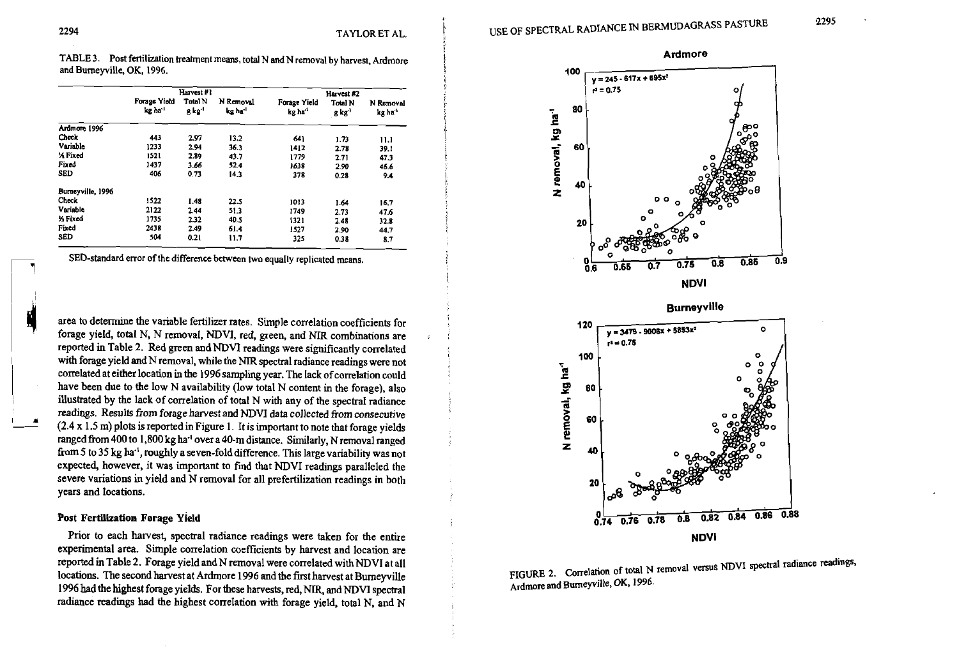**i** 

I

TABLE 3. Post fertilization treatment means, total N and N removal by harvest, Ardmore and Bumeyville, OK, 1996.

|                       |                        | Harvest #1                           |                                  | Harvest #2              |                                      |                      |  |
|-----------------------|------------------------|--------------------------------------|----------------------------------|-------------------------|--------------------------------------|----------------------|--|
|                       | Forage Yield<br>kg ha' | <b>Total N</b><br>g kg <sup>.1</sup> | N Removal<br>kg ha <sup>-1</sup> | Forage Yield<br>kg ha'' | <b>Total N</b><br>g kg <sup>-)</sup> | N Removal<br>kg ha'' |  |
| Ardmore 1996          |                        |                                      |                                  |                         |                                      |                      |  |
| Check                 | 443                    | 2.97                                 | 13.2                             | 641                     | 1.73                                 | 11.1                 |  |
| Variable              | 1233                   | 2.94                                 | 36.3                             | 1412                    | 2.78                                 | 39.1                 |  |
| <b>X</b> Fixed        | 1521                   | 2.89                                 | 43.7                             | 1779                    | 2.71                                 | 47.3                 |  |
| Fixed                 | 1437                   | 3.66                                 | 52.4                             | 1638                    | 2.90                                 | 46.6                 |  |
| SED                   | 406                    | 0.73                                 | 14.3                             | 378                     | 0.28                                 | 9.4                  |  |
| Burneyville, 1996     |                        |                                      |                                  |                         |                                      |                      |  |
| <b>Check</b>          | 1522                   | 1.48                                 | 22.5                             | 1013                    | 1.64                                 | 16.7                 |  |
| Variable              | 2122                   | 2.44                                 | 51.3                             | 1749                    | 2.73                                 | 47.6                 |  |
| <b><i>y</i></b> Fixed | 1735                   | 2.32                                 | 40.5                             | 1321                    | 2.48                                 | 32.8                 |  |
| Fixed                 | 2438                   | 2.49                                 | 61.4                             | 1527                    | 2.90                                 | 44.7                 |  |
| SED                   | 504                    | 0.21                                 | 11.7                             | 325                     | 0.38                                 | 8.7                  |  |

L SED-standard error of the difference between **two** equally replicated means.

area to determine the variable fertilizer rates. Simple correlation coefficients for forage yield, total N, N removal, NDVI, red, green, and NIR combinations are reported in Table 2. Red green andNDV1 readings were significantly conelated with forage yield and N removal, while the NIR spectral radiance readings were not correlated at either location in the 1996 sampling year. The lack of correlation could have been due to the low N availability (low total N content in the forage), also illustrated by the lack of correlation of total N with any of the spectral radiance readings. Results from forage harvest and NDVl data collected from consecutive wi<br>
co<br>
co<br>
ha<br>
ill<br>
rea<br>
(2.<br>
ran  $(2.4 \times 1.5 \text{ m})$  plots is reported in Figure 1. It is important to note that forage yields ranged from 400 to 1,800 kg ha<sup>-1</sup> over a 40-m distance. Similarly, N removal ranged from 5 to 35 kg ha", roughly a seven-fold difference. This large variability was not expected, however, it was important to find that NDVI readings paralleled the severe variations in yield and N removal for all prefertilization readings in both years and locations.

#### Post Fertilization Forage Yield

Prior to each harvest, spectral radiance readings were taken for the entire experimental area. Simple correlation coefficients by harvest and location are reported in Table 2. Forage yield and N removal were correlated with NDVI at all locations. The second harvest at Ardmore 1996 and the first harvest at Burneyville 1996 had the highest forage yields. For these harvests, red, NIR, and NDVI spectral radiance readings had the highest correlation with forage yield, total N, and N





FIGURE 2. Correlation of total N removal versus NDVI spectral radiance readings, Ardmore and Bumeyville, **OK,** 1996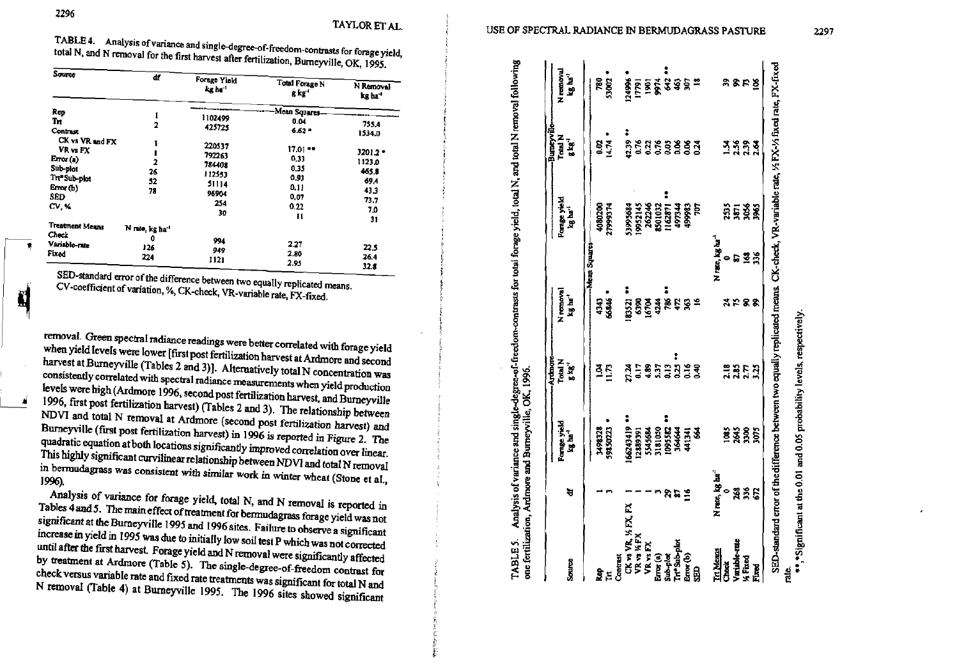r,

TABLE 4. Analysis of variance and single-degree-of-freedom-contrasts for forage yield, total N, and N removal for the first harvest after fertilization, Burneyville, OK, 1995.

| ď | Forage Yield<br>kg he '                                               | Total Forage N<br>g kg <sup>-t</sup>                                                 | N Removal<br>kg ha <sup>-1</sup>                                        |
|---|-----------------------------------------------------------------------|--------------------------------------------------------------------------------------|-------------------------------------------------------------------------|
|   |                                                                       |                                                                                      |                                                                         |
|   |                                                                       |                                                                                      |                                                                         |
|   | 425725                                                                | $6.62*$                                                                              | 755.4<br>1534.0                                                         |
|   |                                                                       |                                                                                      |                                                                         |
|   |                                                                       |                                                                                      | 3201.2 -                                                                |
|   |                                                                       | 0.33                                                                                 | 1123.0                                                                  |
|   |                                                                       | 0.35                                                                                 | 465.8                                                                   |
|   |                                                                       |                                                                                      |                                                                         |
|   |                                                                       |                                                                                      | 69.4                                                                    |
|   | 96904                                                                 |                                                                                      | 43.3                                                                    |
|   | 254                                                                   |                                                                                      | 73.7                                                                    |
|   |                                                                       |                                                                                      | 7.0                                                                     |
|   |                                                                       |                                                                                      | 31                                                                      |
|   |                                                                       |                                                                                      |                                                                         |
| 0 |                                                                       |                                                                                      |                                                                         |
|   |                                                                       | 2.27                                                                                 | 22.5                                                                    |
|   |                                                                       | 2.80                                                                                 | 26.4                                                                    |
|   |                                                                       | 2.95                                                                                 | 32.8                                                                    |
|   | 2<br>2<br>26<br>52<br>78<br>N rate, kg ha <sup>-1</sup><br>126<br>224 | 1102499<br>220537<br>792263<br>784408<br>112553<br>51114<br>30<br>994<br>949<br>1121 | Mean Squares<br>0.04<br>$17.01 -$<br>0.93<br>0,11<br>0.07<br>0.22<br>11 |

SED-standard error of the difference between two equally replicated means. CV-coefficient of variation, %, CK-check, VR-variable rate, FX-fixed.

removal. Green spectral radiance readings were better correlated with forage yield when yield levels were lower [first post fertilization harvest at Ardmore and second harvest at Burneyville (Tables 2 and 3)]. Alternatively total N concentration was consistently correlated with spectral radiance measurements when yield production levels were high (Ardmore 1996, second post fertilization harvest, and Burneyville 1996, first post fertilization harvest) (Tables 2 and 3). The relationship between NDVI and total N removal at Ardmore (second post fertilization harvest) and Burneyville (first post fertilization harvest) in 1996 is reported in Figure 2. The quadratic equation at both locations significantly improved correlation over linear. This highly significant curvilinear relationship between NDVI and total N removal in bermudagrass was consistent with similar work in winter wheat (Stone et al., 1996).

Analysis of variance for forage yield, total N, and N removal is reported in Tables 4 and 5. The main effect of treatment for bermudagrass forage yield was not significant at the Burneyville 1995 and 1996 sites. Failure to observe a significant increase in yield in 1995 was due to initially low soil test P which was not corrected until after the first harvest. Forage yield and N removal were significantly affected by treatment at Ardmore (Table 5). The single-degree-of-freedom contrast for check versus variable rate and fixed rate treatments was significant for total N and N removal (Table 4) at Burneyville 1995. The 1996 sites showed significant

Analysis of variance and single-degree-of-freedom-contrasts for total forage yield, total N, and total N removal following TABLE 5.

|                                    |                             |                     | Ardmore           |                      |                                                 | -Buneyvill                      |                     |
|------------------------------------|-----------------------------|---------------------|-------------------|----------------------|-------------------------------------------------|---------------------------------|---------------------|
|                                    |                             | <b>Forage yield</b> | Total N           | N removal            | <b>Forage yield</b>                             | Total N                         | Nemoval             |
| <b>Source</b>                      | খ                           | kg ha''             | g kg              | kg ha <sup>ri</sup>  | kg ha <sup>-i</sup>                             | $g kg^{-1}$                     | kg ha' <sup>i</sup> |
|                                    |                             |                     |                   | -Mean Squares        |                                                 |                                 |                     |
|                                    |                             | 3498328             | $\vec{S}$         | 4343                 | 1080200                                         |                                 | 780                 |
| <b>Rep</b><br>TH<br>Contrast       |                             | 59850223            | 11.73             | 66846                | <b>PLE666LZ</b>                                 | 0.34<br>0.41                    | 23002               |
|                                    |                             |                     |                   |                      |                                                 |                                 |                     |
|                                    |                             | 66243419            | 27.24             | 83321                | 53995684                                        |                                 | 24996               |
| CK 13 VR, 14 FX, FX<br>VR 13 14 FX |                             | 12889391            | 0.17              |                      | 1952145                                         |                                 | 17791               |
| <b>VR</b> <sub>vsFX</sub>          |                             | 5545684             |                   |                      | 262246                                          |                                 |                     |
| Erry (a)                           |                             | 3181050             | <b>353</b><br>353 | <b>924</b><br>924    | 8501032                                         |                                 |                     |
| Sub-plot                           |                             | 1095582             |                   |                      | 162871                                          |                                 |                     |
| Trt°Sub-plot                       | 852                         | 364644              |                   |                      | 197344                                          |                                 |                     |
|                                    |                             | 441341              |                   | ន្តដូន្ត             | 199983                                          | ត្តម្តងខ្លួន<br>ក្នុងមន្តន្តន្ត | <b>Extragal</b>     |
| erre (b)<br>SED                    |                             | ङ्क                 | 340               | $\tilde{\mathbf{z}}$ | E                                               |                                 |                     |
| <b>In Means</b>                    | N rate, kg ba <sup>-1</sup> |                     |                   |                      | N rate, kg ha <sup>-1</sup>                     |                                 |                     |
| Check                              | 0                           |                     |                   |                      |                                                 |                                 |                     |
| Variable-rate                      | 268                         | <b>935</b><br>285   | 2.35<br>2.35      | <b>2222</b>          | 253<br>367<br>3056<br>$\overline{\overline{a}}$ | <b>ងងួ</b> ង្គូ<br>= ងងួង       | ននគន្ធ              |
| <b>K Fixed</b>                     | 336<br>672                  |                     |                   |                      | 168                                             |                                 |                     |
| Fixed                              |                             | 3075                | 3.25              |                      | 3965                                            |                                 |                     |

\*Significant at the 0.01 and 0.05 probability levels, respectively,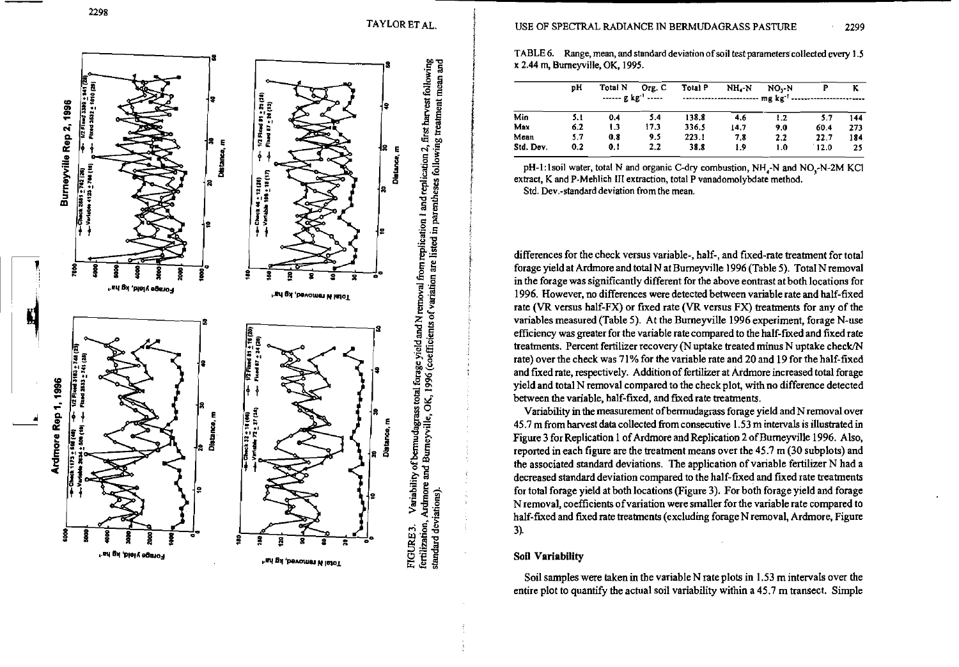TAYLOR ET AL.



TABLE 6. Range, mean, and standard deviation of soil test parameters collected every 1.5 x 2.44 m, Burneyville, OK, 1995.

|           | DН  | Total N | Org. C<br>$--- g kg-1$ | Total P | NH -N | NO.-N<br>------------------------ mg kg <sup>-1</sup> ------- |      | ĸ   |
|-----------|-----|---------|------------------------|---------|-------|---------------------------------------------------------------|------|-----|
| Min       | 5.1 | 0.4     | 5.4                    | 138.8   | 4.6   | 1.2                                                           | 5.7  | 144 |
| Max       | 6.2 | 1.3     | 17.3                   | 336.5   | 14.7  | 90                                                            | 60.4 | 273 |
| Mean      | 5.7 | 0.8     | 9.5                    | 223.1   | 7.8   | 2.2                                                           | 22.7 | 184 |
| Std. Dev. | 0.2 | 0.1     | 2.2                    | 38.8    | 1.9   | 1.0                                                           | 12.0 | 25  |

pH-1:1soil water, total N and organic C-dry combustion, NH<sub>-</sub>N and NO<sub>-</sub>N-2M KCl extract, K and P-Mehlich III extraction, total P vanadomolybdate method. Std. Dev.-standard deviation from the mean.

differences for the check versus variable-, half-, and fixed-rate treatment for total forage yield at Ardmore and total N at Burneyville 1996 (Table 5). Total N removal in the forage was significantly different for the above eontrast at both locations for 1996. However, no differences were detected between variable rate and half-fixed rate (VR versus half-FX) or fixed rate (VR versus FX) treatments for any of the variables measured (Table 5). At the Burneyville 1996 experiment, forage N-use efficiency was greater for the variable rate compared to the half-fixed and fixed rate treatments. Percent fertilizer recovery (N uptake treated minus N uptake check/N rate) over the check was 71% for the variable rate and 20 and 19 for the half-fixed and fixed rate, respectively. Addition of fertilizer at Ardmore increased total forage yield and total N removal compared to the check plot, with no difference detected between the variable, half-fixed, and fixed rate treatments.

Variability in the measurement of bermudagrass forage yield and N removal over 45.7 m from harvest data collected from consecutive 1.53 m intervals is illustrated in Figure 3 for Replication 1 of Ardmore and Replication 2 of Burneyville 1996. Also, reported in each figure are the treatment means over the 45.7 m (30 subplots) and the associated standard deviations. The application of variable fertilizer N had a decreased standard deviation compared to the half-fixed and fixed rate treatments for total forage yield at both locations (Figure 3). For both forage yield and forage N removal, coefficients of variation were smaller for the variable rate compared to half-fixed and fixed rate treatments (excluding forage N removal, Ardmore, Figure 3).

#### **Soil Variability**

Soil samples were taken in the variable N rate plots in 1.53 m intervals over the entire plot to quantify the actual soil variability within a 45.7 m transect. Simple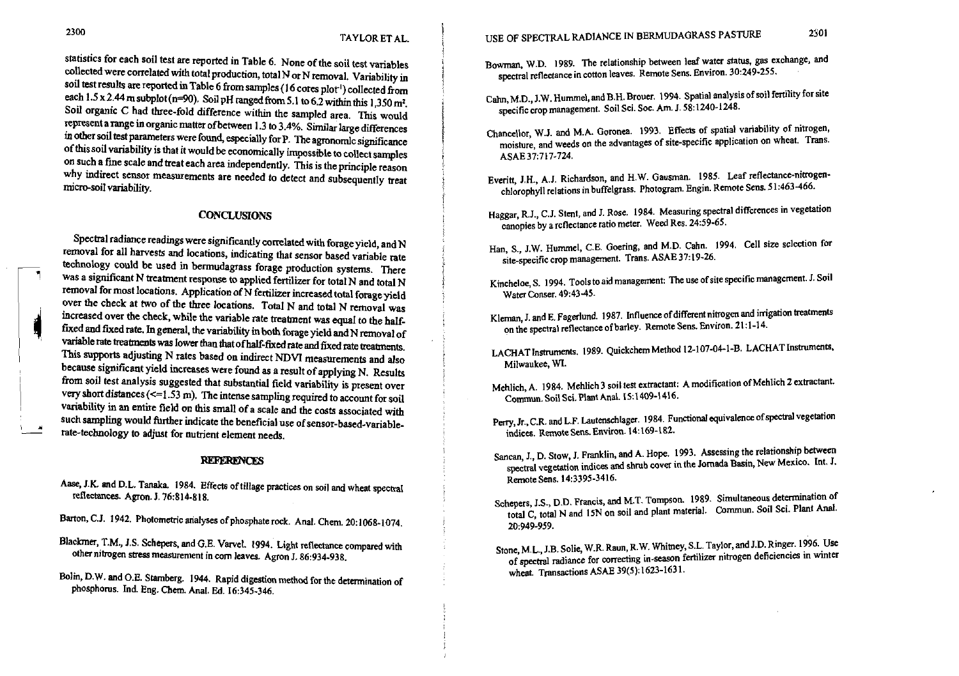statistics for each soil test are reported in Table 6. None of the soil test variables collected were correlated with total production, total N or N removal. Variability in soil test results are reported in Table 6 from samples (16 cores plot<sup>1</sup>) collected from each 1.5 x 2.44 m subplot (n=90). Soil pH ranged from 5.1 to 6.2 within this 1,350 m<sup>2</sup>. Soil organic C had three-fold difference within the sampled area. This would represent a range in organic matter of between 1.3 to 3.4%. Similar large differences in other soil test parameters were found, especially for P. The agronomlc significance of this soil variability is that it would be economically impossible to collect samples on such a fme scale and treat each area independently. This is the principle reason why indirect sensor measurements are needed to detect and subsequently treat micro-soil variability.

#### **CONCLUSIONS**

Spectral radiance readings were significantly correlated with forage yield, and  $N$ removal for all harvests and locations, indicating that sensor based variable rate technology could be used in bermudagrass forage production systems. There was a significant N treatment response to applied fertilizer for total N and total N removal for most locations. Application of N fertilizer increased total forage yield over the check at two of the three locations. Total N and total N removal was increased over the check, while the variable rate treatment was equal to the halffixed and fixed rate. In general, the variability in both forage yield and N removal of variable rate treatments was lower than that of half-fixed rate and fixed rate treatments. This supports adjusting N rates based on indirect NDVI measurements and also because signiticant yield increases were found **as** a result of applying N. Results from soil test analysis suggested that substantial field variability is present over very short distances  $\ll$ =1.53 m). The intense sampling required to account for soil<br>variability in an entire field on this small of a scale and the costs associated with variability in an entire field on this small of a scale and the costs associated with such sampling would further indicate the beneficial use of sensor-based-variable-rate-technology to adjust for nutrient element needs. **I1** - rate-technology to adjust for nutrient element needs.

#### **REFERENCES**

- Aase, J.K. and D.L. Tanaka. 1984. Effects of tillage practices on soil and wheat spectral reflectances. Agron. J.76:814-818.
- Barton, C.J. 1942. Photometric analyses of phosphate rock. Anal. Chem. 20:1068-1074.
- Blackmer, T.M., J.S. Schepers, and G.E. Varvel. 1994. Light reflectance compared with other nitrogen stress measurement in com leaves. Agron J. 86:934-938.
- Bolin, D.W. and O.E. Stamberg. 1944. Rapid digestion method for the determination of phosphorus. Ind. Eng. **Chm.** Anal. Ed. I6:345-346.
- Bowman, W.D. 1989. The relationship between leaf water status, gas exchange, and spectral reflectance in cotton leaves. Remote Sens. Environ. 30:249-255.
- Cahn,M.D., J.W. Hummel, and B.H. Brouer. 1994. Spatial analysis of soil fertility for site specific crop management. Soil Sci. Soc. Am. J. 58:1240-1248.
- Chancellor, W.J. and M.A. Goronea. 1993. Effects of spatial variability of nitrogen, moisture, and weeds on the advantages of site-specific application on wheat. Trans. ASAE37:717-724.
- Everitt, J.H., A.J. Richardson, and H.W. Gausman. 1985. Leaf reflectance-nitrogenchlorophyll relations in buffelgrass. Photogram. Engin. Remote Sens. 51:463-466.
- Haggar, R.J., C.J. Stent, and J. Rose. 1984. Measuring spectral diffcrences in vegetation canopies by a rcflectance ratio meter. Weed Res. 2459-65.
- Han, S., J.W. Hummel, C.E. Goering, and M.D. Cahn. 1994. Cell size selection for site-specific crop management. Trans. ASAE 37: 19-26.
- Kincheloe, S. 1994. Tools to aid management: The use of site specific management. J. Soil Water Conser. 49:43-45.
- Kleman, J. and E. Fagerlund. 1987. Influence of different nitrogen and irrigation treatments on the spectral reflectance of barley. Remote Sens. Environ. 21 : 1-1 4.
- LACHAT Instruments. 1989. Quickchem Method 12-107-04-1-B. LACHAT Instruments, Milwaukee, **Wl.**
- Mehlich, A. 1984. Mehlich3 soil tea extractant: A modification of Mehlich **2** extractant. Commun. Soil Sci. Plant Anal. 15:1409-1416.
- Perry, Jr., C.R. and L.F. Lautenschlager. 1984. Functional equivalence of spectral vegelation indices. Remote Sens. Environ. 14: 169-182.
- Sanean, I., D. Stow, J. Franklin, and A. Hope. 1993. Assessing the relationship between spectral vegetation indices **and** shrub covet in the Jornada Basin, New Mexico. Int. I. RemoteSens. 14:3395-3416.
- Schepers, J.S., D.D. Francis, and M.T. Tompson. 1989. Simultaneous determination of total C, total N and 15N on soil and plant material. Commun. Soil Sci. Plant Anal. 20:949-959.
- Stone, M.L., J.B. Solie, W.R. Raun, R.W. Whitney, S.L. Taylor, and J.D. Ringer. 1996. Use of spectral radiance for correcting in-season fertilizer nitrogen deficiencies in winter wheat. Transactions ASAE 39(5): 1623-163 1.